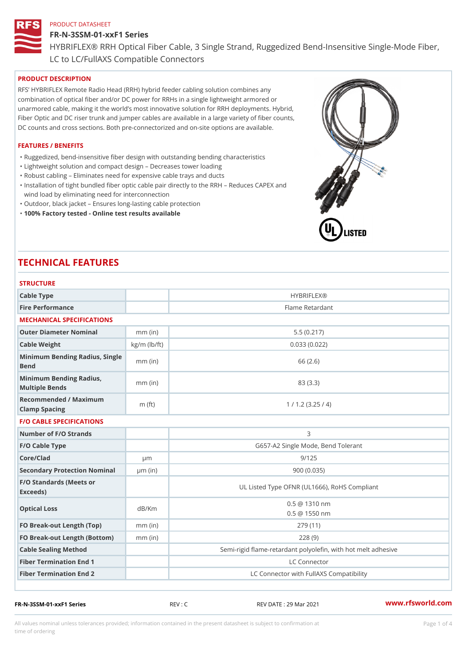# FR-N-3SSM-01-xxF1 Series

HYBRIFLEX® RRH Optical Fiber Cable, 3 Single Strand, Ruggedized Be

LC to LC/FullAXS Compatible Connectors

# PRODUCT DESCRIPTION

RFS HYBRIFLEX Remote Radio Head (RRH) hybrid feeder cabling solution combines any combination of optical fiber and/or DC power for RRHs in a single lightweight armored or unarmored cable, making it the world s most innovative solution for RRH deployments. Hybrid, Fiber Optic and DC riser trunk and jumper cables are available in a large variety of fiber counts, DC counts and cross sections. Both pre-connectorized and on-site options are available.

# FEATURES / BENEFITS

- "Ruggedized, bend-insensitive fiber design with outstanding bending characteristics
- "Lightweight solution and compact design Decreases tower loading
- "Robust cabling Eliminates need for expensive cable trays and ducts
- "Installation of tight bundled fiber optic cable pair directly to the RRH Aeduces CAPEX and wind load by eliminating need for interconnection
- "Outdoor, black jacket Ensures long-lasting cable protection
- "100% Factory tested Online test results available

# TECHNICAL FEATURES

| Cable Type                                        |                    | <b>HYBRIFLEX®</b>                                        |  |  |
|---------------------------------------------------|--------------------|----------------------------------------------------------|--|--|
| Fire Performance                                  |                    | Flame Retardant                                          |  |  |
| MECHANICAL SPECIFICATIONS                         |                    |                                                          |  |  |
| Outer Diameter Nominal                            | $mm$ (in)          | 5.5(0.217)                                               |  |  |
| Cable Weight                                      | $kg/m$ ( $lb/ft$ ) | 0.033(0.022)                                             |  |  |
| Minimum Bending Radius, Single<br>mm (in)<br>Bend |                    | 66 (2.6)                                                 |  |  |
| Minimum Bending Radius, mm (in)<br>Multiple Bends |                    | 83 (3.3)                                                 |  |  |
| Recommended / Maximum<br>Clamp Spacing            | $m$ (ft)           | 1 / 1.2 (3.25 / 4)                                       |  |  |
| <b>F/O CABLE SPECIFICATIONS</b>                   |                    |                                                          |  |  |
| Number of F/O Strands                             |                    | 3                                                        |  |  |
| F/O Cable Type                                    |                    | G657-A2 Single Mode, Bend Tolerant                       |  |  |
| Core/Clad                                         | $\mu$ m            | 9/125                                                    |  |  |
| Secondary Protection Nomimal(in)                  |                    | 900 (0.035)                                              |  |  |
| F/O Standards (Meets or<br>Exceeds)               |                    | UL Listed Type OFNR (UL1666), RoHS Compliant             |  |  |
| Optical Loss                                      | dB/Km              | $0.5 \ @ \ 1310 \ nm$<br>$0.5 \t@ 1550 nm$               |  |  |
| FO Break-out Length (Top)mm (in)                  |                    | 279 (11)                                                 |  |  |
| FO Break-out Length (Bottomm) (in)                |                    | 228(9)                                                   |  |  |
| Cable Sealing Method                              |                    | Semi-rigid flame-retardant polyolefin, with hot melt adl |  |  |
| Fiber Termination End                             |                    | LC Connector                                             |  |  |
| Fiber Termination End 2                           |                    | LC Connector with FullAXS Compatibility                  |  |  |

FR-N-3SSM-01-xxF1 Series REV : C REV DATE : 29 Mar 2021 [www.](https://www.rfsworld.com)rfsworld.com

All values nominal unless tolerances provided; information contained in the present datasheet is subject to Pcapgeligim attio time of ordering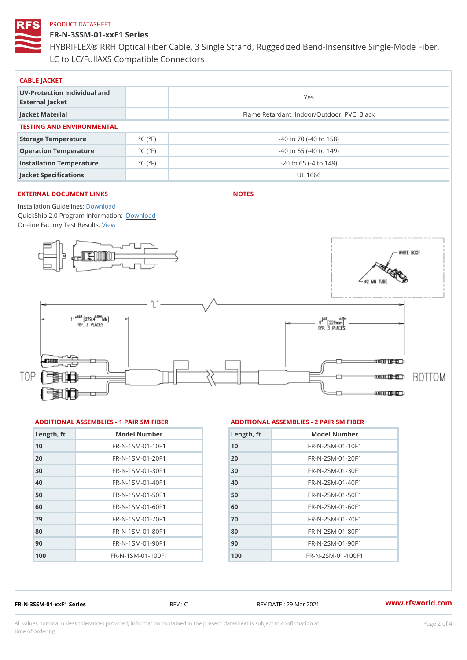FR-N-3SSM-01-xxF1 Series HYBRIFLEX® RRH Optical Fiber Cable, 3 Single Strand, Ruggedized Be LC to LC/FullAXS Compatible Connectors

| CABLE JACKET                                    |                             |                                             |  |  |  |
|-------------------------------------------------|-----------------------------|---------------------------------------------|--|--|--|
| UV-Protection Individual and<br>External Jacket |                             | Yes                                         |  |  |  |
| Jacket Material                                 |                             | Flame Retardant, Indoor/Outdoor, PVC, Black |  |  |  |
| TESTING AND ENVIRONMENTAL                       |                             |                                             |  |  |  |
| Storage Temperature                             | $^{\circ}$ C ( $^{\circ}$ F | $-40$ to $70$ ( $-40$ to $158$ )            |  |  |  |
| Operation Temperature                           | $^{\circ}$ C ( $^{\circ}$ F | $-40$ to 65 ( $-40$ to 149)                 |  |  |  |
| Installation Temperature                        | $^{\circ}$ C ( $^{\circ}$ F | $-20$ to 65 ( $-4$ to 149)                  |  |  |  |
| Jacket Specifications                           |                             | UL 1666                                     |  |  |  |

# EXTERNAL DOCUMENT LINKS

NOTES

Installation Guidelwinessad QuickShip 2.0 Program [Informa](http://www.rfsworld.com/images/hybriflex/quickship_program_2.pdf)tion: On-line Factory Te[s](https://www.rfsworld.com/pictures/userfiles/programs/AAST Latest Version.zip)teResults:

#### ADDITIONAL ASSEMBLIES - 1 PAIR SM FIBERED DITIONAL ASSEMBLIES - 2 PAIR SM FIBER

| Length, ft | Model Number                   |
|------------|--------------------------------|
| 10         | FR-N-1SM-01-10F1               |
| 20         | $FR - N - 1$ S M - 01 - 20 F 1 |
| 30         | FR-N-1SM-01-30F1               |
| 40         | FR-N-1SM-01-40F1               |
| 50         | $FR - N - 1$ S M - 01 - 50 F 1 |
| 60         | FR-N-1SM-01-60F1               |
| 79         | $FR - N - 1$ S M - 01 - 70 F 1 |
| 80         | $FR - N - 1$ S M - 01 - 80 F 1 |
| 90         | FR-N-1SM-01-90F1               |
| 100        | FR-N-1SM-01-100F1              |

| Length, ft | Model Number                  |
|------------|-------------------------------|
| 10         | $FR - N - 2 SM - 01 - 10 F1$  |
| 20         | $FR - N - 2 S M - 01 - 20 F1$ |
| 30         | $FR - N - 2 SM - 01 - 30 F1$  |
| 40         | $FR - N - 2 S M - 01 - 40 F1$ |
| 50         | $FR - N - 2 S M - 01 - 50 F1$ |
| 60         | $FR - N - 2 SM - 01 - 60 F1$  |
| 70         | $FR - N - 2 SM - 01 - 70 F1$  |
| 80         | FR-N-2SM-01-80F1              |
| 90         | $FR - N - 2 S M - 01 - 90 F1$ |
| 100        | $FR - N - 2 SM - 01 - 100 F1$ |

FR-N-3SSM-01-xxF1 Series REV : C REV DATE : 29 Mar 2021 [www.](https://www.rfsworld.com)rfsworld.com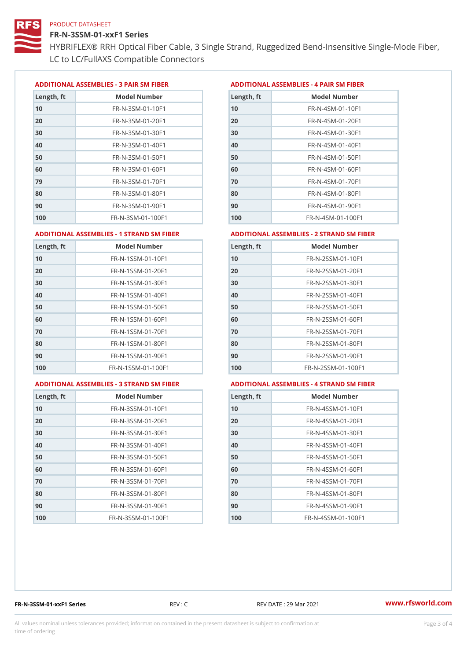# FR-N-3SSM-01-xxF1 Series

HYBRIFLEX® RRH Optical Fiber Cable, 3 Single Strand, Ruggedized Be LC to LC/FullAXS Compatible Connectors

ADDITIONAL ASSEMBLIES - 3 PAIR SM FIBERED DITIONAL ASSEMBLIES - 4 PAIR SM FIBER

| Length, ft | Model Number                   |
|------------|--------------------------------|
| 10         | FR-N-3SM-01-10F1               |
| 20         | $FR - N - 3 S M - 01 - 20 F1$  |
| 30         | $FR - N - 3 S M - 01 - 30 F1$  |
| 40         | $FR - N - 3 S M - 01 - 40 F1$  |
| 50         | $FR - N - 3 S M - 01 - 50 F1$  |
| 60         | $FR - N - 3 S M - 01 - 60 F1$  |
| 79         | FR-N-3SM-01-70F1               |
| 80         | FR-N-3SM-01-80F1               |
| 90         | $FR - N - 3 S M - 01 - 90 F1$  |
| 100        | $FR - N - 3 S M - 01 - 100 F1$ |

| Length, ft | Model Number                   |
|------------|--------------------------------|
| 10         | $FR - N - 4$ S M - 01 - 10 F 1 |
| 20         | $FR - N - 4 SM - 01 - 20 F1$   |
| 30         | $FR - N - 4 S M - 01 - 30 F1$  |
| 40         | FR-N-4SM-01-40F1               |
| 50         | FR-N-4SM-01-50F1               |
| 60         | $FR - N - 4 S M - 01 - 60 F1$  |
| 70         | FR-N-4SM-01-70F1               |
| 80         | $FR - N - 4 S M - 01 - 80 F1$  |
| 90         | FR-N-4SM-01-90F1               |
| 100        | $FR - N - 4 S M - 01 - 100 F1$ |

#### ADDITIONAL ASSEMBLIES - 1 STRAND SM FABSDRTIONAL ASSEMBLIES - 2 STRAND SM FIBER

| Length, ft | Model Number                     | Length, ft | Model Number                      |
|------------|----------------------------------|------------|-----------------------------------|
| 10         | FR-N-1SSM-01-10F1                | 10         | FR-N-2SSM-01-10F1                 |
| 20         | FR-N-1SSM-01-20F1                | 20         | $FR - N - 2SSM - 01 - 20F1$       |
| 30         | FR-N-1SSM-01-30F1                | 30         | FR-N-2SSM-01-30F1                 |
| 40         | $FR - N - 1$ S S M - 01 - 40 F 1 | 40         | FR-N-2SSM-01-40F1                 |
| 50         | FR-N-1SSM-01-50F1                | 50         | FR-N-2SSM-01-50F1                 |
| 60         | $FR - N - 1$ S S M - 01 - 60 F 1 | 60         | $FR - N - 2SSM - 01 - 60F1$       |
| 70         | FR-N-1SSM-01-70F1                | 70         | $FR - N - 2SSM - 01 - 70F1$       |
| 80         | FR-N-1SSM-01-80F1                | 80         | FR-N-2SSM-01-80F1                 |
| 90         | $FR - N - 1$ S S M - 01 - 90 F 1 | 90         | $FR - N - 2SSM - 01 - 90F1$       |
| 100        | FR-N-1SSM-01-100F1               | 100        | $FR - N - 2$ S S M - 01 - 100 F 1 |
|            |                                  |            |                                   |

#### ADDITIONAL ASSEMBLIES - 3 STRAND SM FABSDRTIONAL ASSEMBLIES - 4 STRAND SM FIBER

| Length, ft | Model Number                    |
|------------|---------------------------------|
| 10         | $FR - N - 3 S S M - 01 - 10 F1$ |
| 20         | FR-N-3SSM-01-20F1               |
| 30         | FR-N-3SSM-01-30F1               |
| 40         | FR-N-3SSM-01-40F1               |
| 50         | $FR - N - 3 S S M - 01 - 50 F1$ |
| 60         | $FR - N - 3 S S M - 01 - 60 F1$ |
| 70         | FR-N-3SSM-01-70F1               |
| 80         | FR-N-3SSM-01-80F1               |
| 90         | FR-N-3SSM-01-90F1               |
| 100        | FR-N-3SSM-01-100F1              |

| Length, ft | Model Number                     |
|------------|----------------------------------|
| 10         | FR-N-4SSM-01-10F1                |
| 20         | $FR - N - 4 S S M - 01 - 20 F1$  |
| 30         | $FR - N - 4 S S M - 01 - 30 F1$  |
| 40         | $FR - N - 4$ S S M - 01 - 40 F 1 |
| 50         | FR-N-4SSM-01-50F1                |
| 60         | FR-N-4SSM-01-60F1                |
| 70         | $FR - N - 4$ S S M - 01 - 70 F 1 |
| 80         | FR-N-4SSM-01-80F1                |
| 90         | FR-N-4SSM-01-90F1                |
| 100        | FR-N-4SSM-01-100F1               |

FR-N-3SSM-01-xxF1 Series REV : C REV DATE : 29 Mar 2021 [www.](https://www.rfsworld.com)rfsworld.com

All values nominal unless tolerances provided; information contained in the present datasheet is subject to Pcapgeling that i time of ordering